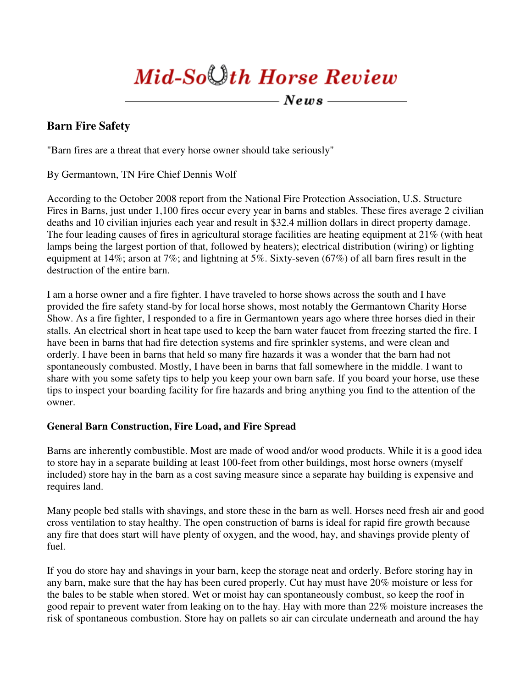# Mid-So $\bigcup th$  Horse Review

-  $News$  ——

## **Barn Fire Safety**

"Barn fires are a threat that every horse owner should take seriously"

By Germantown, TN Fire Chief Dennis Wolf

According to the October 2008 report from the National Fire Protection Association, U.S. Structure Fires in Barns, just under 1,100 fires occur every year in barns and stables. These fires average 2 civilian deaths and 10 civilian injuries each year and result in \$32.4 million dollars in direct property damage. The four leading causes of fires in agricultural storage facilities are heating equipment at 21% (with heat lamps being the largest portion of that, followed by heaters); electrical distribution (wiring) or lighting equipment at 14%; arson at 7%; and lightning at 5%. Sixty-seven (67%) of all barn fires result in the destruction of the entire barn.

I am a horse owner and a fire fighter. I have traveled to horse shows across the south and I have provided the fire safety stand-by for local horse shows, most notably the Germantown Charity Horse Show. As a fire fighter, I responded to a fire in Germantown years ago where three horses died in their stalls. An electrical short in heat tape used to keep the barn water faucet from freezing started the fire. I have been in barns that had fire detection systems and fire sprinkler systems, and were clean and orderly. I have been in barns that held so many fire hazards it was a wonder that the barn had not spontaneously combusted. Mostly, I have been in barns that fall somewhere in the middle. I want to share with you some safety tips to help you keep your own barn safe. If you board your horse, use these tips to inspect your boarding facility for fire hazards and bring anything you find to the attention of the owner.

## **General Barn Construction, Fire Load, and Fire Spread**

Barns are inherently combustible. Most are made of wood and/or wood products. While it is a good idea to store hay in a separate building at least 100-feet from other buildings, most horse owners (myself included) store hay in the barn as a cost saving measure since a separate hay building is expensive and requires land.

Many people bed stalls with shavings, and store these in the barn as well. Horses need fresh air and good cross ventilation to stay healthy. The open construction of barns is ideal for rapid fire growth because any fire that does start will have plenty of oxygen, and the wood, hay, and shavings provide plenty of fuel.

If you do store hay and shavings in your barn, keep the storage neat and orderly. Before storing hay in any barn, make sure that the hay has been cured properly. Cut hay must have 20% moisture or less for the bales to be stable when stored. Wet or moist hay can spontaneously combust, so keep the roof in good repair to prevent water from leaking on to the hay. Hay with more than 22% moisture increases the risk of spontaneous combustion. Store hay on pallets so air can circulate underneath and around the hay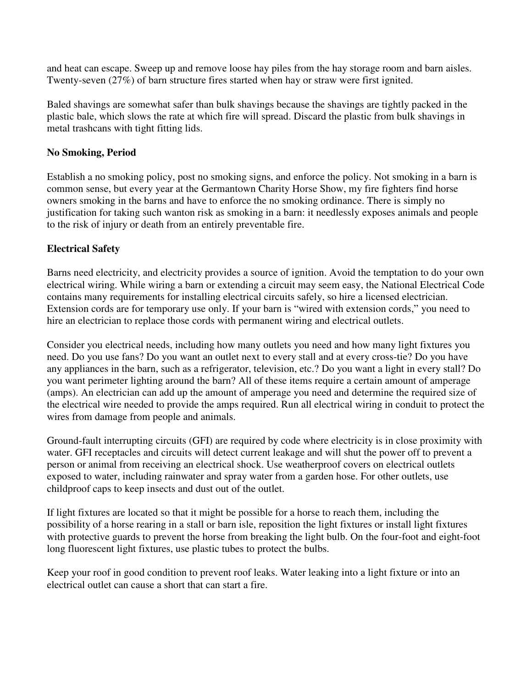and heat can escape. Sweep up and remove loose hay piles from the hay storage room and barn aisles. Twenty-seven (27%) of barn structure fires started when hay or straw were first ignited.

Baled shavings are somewhat safer than bulk shavings because the shavings are tightly packed in the plastic bale, which slows the rate at which fire will spread. Discard the plastic from bulk shavings in metal trashcans with tight fitting lids.

## **No Smoking, Period**

Establish a no smoking policy, post no smoking signs, and enforce the policy. Not smoking in a barn is common sense, but every year at the Germantown Charity Horse Show, my fire fighters find horse owners smoking in the barns and have to enforce the no smoking ordinance. There is simply no justification for taking such wanton risk as smoking in a barn: it needlessly exposes animals and people to the risk of injury or death from an entirely preventable fire.

## **Electrical Safety**

Barns need electricity, and electricity provides a source of ignition. Avoid the temptation to do your own electrical wiring. While wiring a barn or extending a circuit may seem easy, the National Electrical Code contains many requirements for installing electrical circuits safely, so hire a licensed electrician. Extension cords are for temporary use only. If your barn is "wired with extension cords," you need to hire an electrician to replace those cords with permanent wiring and electrical outlets.

Consider you electrical needs, including how many outlets you need and how many light fixtures you need. Do you use fans? Do you want an outlet next to every stall and at every cross-tie? Do you have any appliances in the barn, such as a refrigerator, television, etc.? Do you want a light in every stall? Do you want perimeter lighting around the barn? All of these items require a certain amount of amperage (amps). An electrician can add up the amount of amperage you need and determine the required size of the electrical wire needed to provide the amps required. Run all electrical wiring in conduit to protect the wires from damage from people and animals.

Ground-fault interrupting circuits (GFI) are required by code where electricity is in close proximity with water. GFI receptacles and circuits will detect current leakage and will shut the power off to prevent a person or animal from receiving an electrical shock. Use weatherproof covers on electrical outlets exposed to water, including rainwater and spray water from a garden hose. For other outlets, use childproof caps to keep insects and dust out of the outlet.

If light fixtures are located so that it might be possible for a horse to reach them, including the possibility of a horse rearing in a stall or barn isle, reposition the light fixtures or install light fixtures with protective guards to prevent the horse from breaking the light bulb. On the four-foot and eight-foot long fluorescent light fixtures, use plastic tubes to protect the bulbs.

Keep your roof in good condition to prevent roof leaks. Water leaking into a light fixture or into an electrical outlet can cause a short that can start a fire.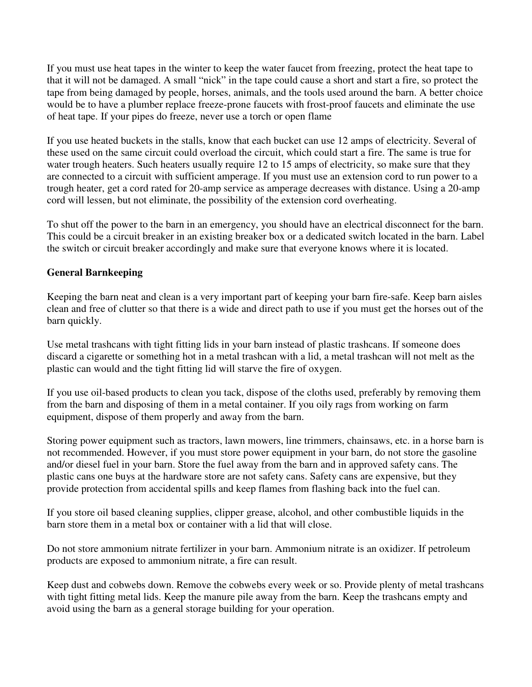If you must use heat tapes in the winter to keep the water faucet from freezing, protect the heat tape to that it will not be damaged. A small "nick" in the tape could cause a short and start a fire, so protect the tape from being damaged by people, horses, animals, and the tools used around the barn. A better choice would be to have a plumber replace freeze-prone faucets with frost-proof faucets and eliminate the use of heat tape. If your pipes do freeze, never use a torch or open flame

If you use heated buckets in the stalls, know that each bucket can use 12 amps of electricity. Several of these used on the same circuit could overload the circuit, which could start a fire. The same is true for water trough heaters. Such heaters usually require 12 to 15 amps of electricity, so make sure that they are connected to a circuit with sufficient amperage. If you must use an extension cord to run power to a trough heater, get a cord rated for 20-amp service as amperage decreases with distance. Using a 20-amp cord will lessen, but not eliminate, the possibility of the extension cord overheating.

To shut off the power to the barn in an emergency, you should have an electrical disconnect for the barn. This could be a circuit breaker in an existing breaker box or a dedicated switch located in the barn. Label the switch or circuit breaker accordingly and make sure that everyone knows where it is located.

## **General Barnkeeping**

Keeping the barn neat and clean is a very important part of keeping your barn fire-safe. Keep barn aisles clean and free of clutter so that there is a wide and direct path to use if you must get the horses out of the barn quickly.

Use metal trashcans with tight fitting lids in your barn instead of plastic trashcans. If someone does discard a cigarette or something hot in a metal trashcan with a lid, a metal trashcan will not melt as the plastic can would and the tight fitting lid will starve the fire of oxygen.

If you use oil-based products to clean you tack, dispose of the cloths used, preferably by removing them from the barn and disposing of them in a metal container. If you oily rags from working on farm equipment, dispose of them properly and away from the barn.

Storing power equipment such as tractors, lawn mowers, line trimmers, chainsaws, etc. in a horse barn is not recommended. However, if you must store power equipment in your barn, do not store the gasoline and/or diesel fuel in your barn. Store the fuel away from the barn and in approved safety cans. The plastic cans one buys at the hardware store are not safety cans. Safety cans are expensive, but they provide protection from accidental spills and keep flames from flashing back into the fuel can.

If you store oil based cleaning supplies, clipper grease, alcohol, and other combustible liquids in the barn store them in a metal box or container with a lid that will close.

Do not store ammonium nitrate fertilizer in your barn. Ammonium nitrate is an oxidizer. If petroleum products are exposed to ammonium nitrate, a fire can result.

Keep dust and cobwebs down. Remove the cobwebs every week or so. Provide plenty of metal trashcans with tight fitting metal lids. Keep the manure pile away from the barn. Keep the trashcans empty and avoid using the barn as a general storage building for your operation.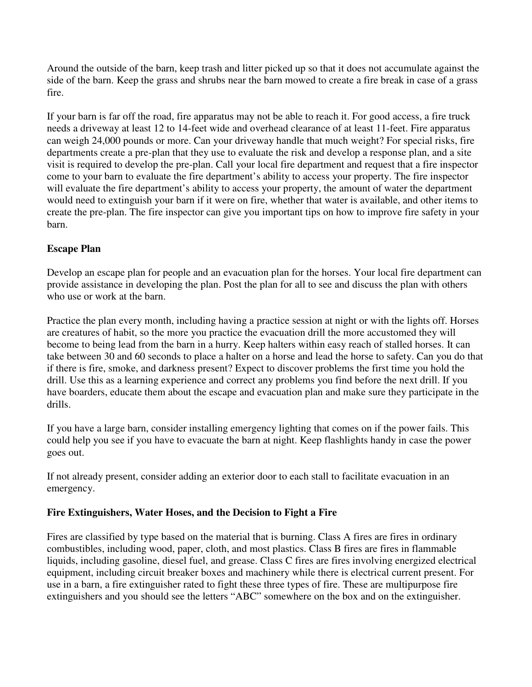Around the outside of the barn, keep trash and litter picked up so that it does not accumulate against the side of the barn. Keep the grass and shrubs near the barn mowed to create a fire break in case of a grass fire.

If your barn is far off the road, fire apparatus may not be able to reach it. For good access, a fire truck needs a driveway at least 12 to 14-feet wide and overhead clearance of at least 11-feet. Fire apparatus can weigh 24,000 pounds or more. Can your driveway handle that much weight? For special risks, fire departments create a pre-plan that they use to evaluate the risk and develop a response plan, and a site visit is required to develop the pre-plan. Call your local fire department and request that a fire inspector come to your barn to evaluate the fire department's ability to access your property. The fire inspector will evaluate the fire department's ability to access your property, the amount of water the department would need to extinguish your barn if it were on fire, whether that water is available, and other items to create the pre-plan. The fire inspector can give you important tips on how to improve fire safety in your barn.

## **Escape Plan**

Develop an escape plan for people and an evacuation plan for the horses. Your local fire department can provide assistance in developing the plan. Post the plan for all to see and discuss the plan with others who use or work at the barn.

Practice the plan every month, including having a practice session at night or with the lights off. Horses are creatures of habit, so the more you practice the evacuation drill the more accustomed they will become to being lead from the barn in a hurry. Keep halters within easy reach of stalled horses. It can take between 30 and 60 seconds to place a halter on a horse and lead the horse to safety. Can you do that if there is fire, smoke, and darkness present? Expect to discover problems the first time you hold the drill. Use this as a learning experience and correct any problems you find before the next drill. If you have boarders, educate them about the escape and evacuation plan and make sure they participate in the drills.

If you have a large barn, consider installing emergency lighting that comes on if the power fails. This could help you see if you have to evacuate the barn at night. Keep flashlights handy in case the power goes out.

If not already present, consider adding an exterior door to each stall to facilitate evacuation in an emergency.

## **Fire Extinguishers, Water Hoses, and the Decision to Fight a Fire**

Fires are classified by type based on the material that is burning. Class A fires are fires in ordinary combustibles, including wood, paper, cloth, and most plastics. Class B fires are fires in flammable liquids, including gasoline, diesel fuel, and grease. Class C fires are fires involving energized electrical equipment, including circuit breaker boxes and machinery while there is electrical current present. For use in a barn, a fire extinguisher rated to fight these three types of fire. These are multipurpose fire extinguishers and you should see the letters "ABC" somewhere on the box and on the extinguisher.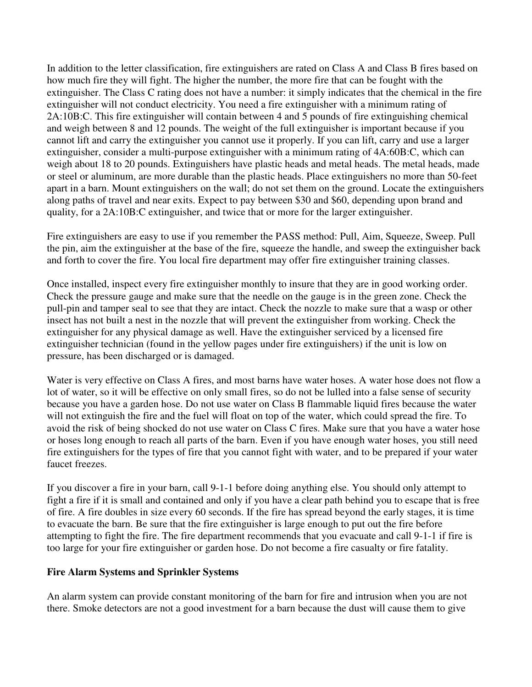In addition to the letter classification, fire extinguishers are rated on Class A and Class B fires based on how much fire they will fight. The higher the number, the more fire that can be fought with the extinguisher. The Class C rating does not have a number: it simply indicates that the chemical in the fire extinguisher will not conduct electricity. You need a fire extinguisher with a minimum rating of 2A:10B:C. This fire extinguisher will contain between 4 and 5 pounds of fire extinguishing chemical and weigh between 8 and 12 pounds. The weight of the full extinguisher is important because if you cannot lift and carry the extinguisher you cannot use it properly. If you can lift, carry and use a larger extinguisher, consider a multi-purpose extinguisher with a minimum rating of 4A:60B:C, which can weigh about 18 to 20 pounds. Extinguishers have plastic heads and metal heads. The metal heads, made or steel or aluminum, are more durable than the plastic heads. Place extinguishers no more than 50-feet apart in a barn. Mount extinguishers on the wall; do not set them on the ground. Locate the extinguishers along paths of travel and near exits. Expect to pay between \$30 and \$60, depending upon brand and quality, for a 2A:10B:C extinguisher, and twice that or more for the larger extinguisher.

Fire extinguishers are easy to use if you remember the PASS method: Pull, Aim, Squeeze, Sweep. Pull the pin, aim the extinguisher at the base of the fire, squeeze the handle, and sweep the extinguisher back and forth to cover the fire. You local fire department may offer fire extinguisher training classes.

Once installed, inspect every fire extinguisher monthly to insure that they are in good working order. Check the pressure gauge and make sure that the needle on the gauge is in the green zone. Check the pull-pin and tamper seal to see that they are intact. Check the nozzle to make sure that a wasp or other insect has not built a nest in the nozzle that will prevent the extinguisher from working. Check the extinguisher for any physical damage as well. Have the extinguisher serviced by a licensed fire extinguisher technician (found in the yellow pages under fire extinguishers) if the unit is low on pressure, has been discharged or is damaged.

Water is very effective on Class A fires, and most barns have water hoses. A water hose does not flow a lot of water, so it will be effective on only small fires, so do not be lulled into a false sense of security because you have a garden hose. Do not use water on Class B flammable liquid fires because the water will not extinguish the fire and the fuel will float on top of the water, which could spread the fire. To avoid the risk of being shocked do not use water on Class C fires. Make sure that you have a water hose or hoses long enough to reach all parts of the barn. Even if you have enough water hoses, you still need fire extinguishers for the types of fire that you cannot fight with water, and to be prepared if your water faucet freezes.

If you discover a fire in your barn, call 9-1-1 before doing anything else. You should only attempt to fight a fire if it is small and contained and only if you have a clear path behind you to escape that is free of fire. A fire doubles in size every 60 seconds. If the fire has spread beyond the early stages, it is time to evacuate the barn. Be sure that the fire extinguisher is large enough to put out the fire before attempting to fight the fire. The fire department recommends that you evacuate and call 9-1-1 if fire is too large for your fire extinguisher or garden hose. Do not become a fire casualty or fire fatality.

#### **Fire Alarm Systems and Sprinkler Systems**

An alarm system can provide constant monitoring of the barn for fire and intrusion when you are not there. Smoke detectors are not a good investment for a barn because the dust will cause them to give